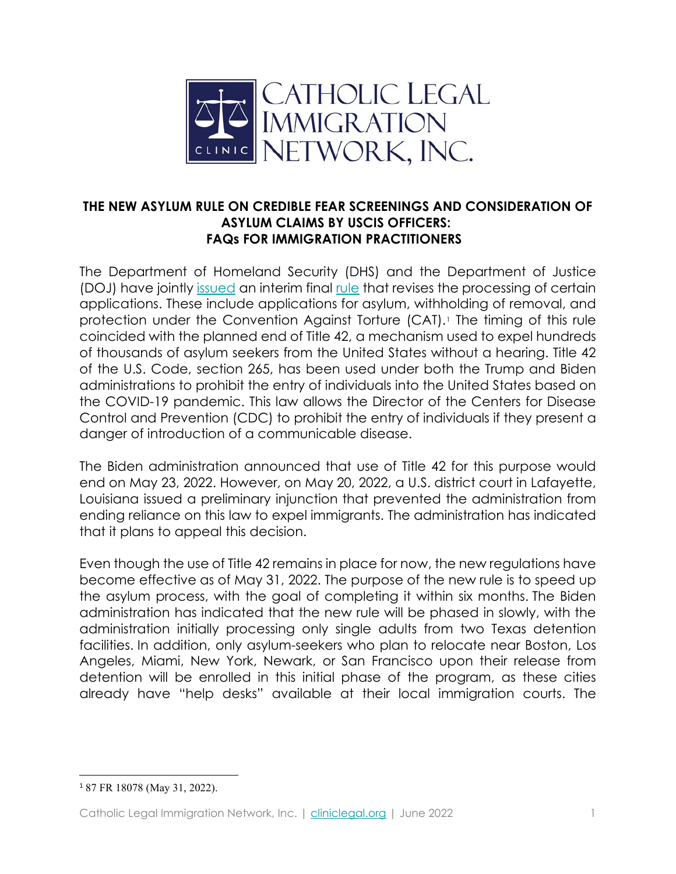

## **THE NEW ASYLUM RULE ON CREDIBLE FEAR SCREENINGS AND CONSIDERATION OF ASYLUM CLAIMS BY USCIS OFFICERS: FAQs FOR IMMIGRATION PRACTITIONERS**

The Department of Homeland Security (DHS) and the Department of Justice (DOJ) have jointly [issued](https://www.dhs.gov/news/2022/03/24/dhs-and-doj-issue-rule-efficiently-and-fairly-process-asylum-claims) an interim final [rule](https://www.federalregister.gov/documents/2022/03/29/2022-06148/procedures-for-credible-fear-screening-and-consideration-of-asylum-withholding-of-removal-and-cat) that revises the processing of certain applications. These include applications for asylum, withholding of removal, and protection under the Convention Against Torture (CAT). The timing of this rule coincided with the planned end of Title 42, a mechanism used to expel hundreds of thousands of asylum seekers from the United States without a hearing. Title 42 of the U.S. Code, section 265, has been used under both the Trump and Biden administrations to prohibit the entry of individuals into the United States based on the COVID-19 pandemic. This law allows the Director of the Centers for Disease Control and Prevention (CDC) to prohibit the entry of individuals if they present a danger of introduction of a communicable disease.

The Biden administration announced that use of Title 42 for this purpose would end on May 23, 2022. However, on May 20, 2022, a U.S. district court in Lafayette, Louisiana issued a preliminary injunction that prevented the administration from ending reliance on this law to expel immigrants. The administration has indicated that it plans to appeal this decision.

Even though the use of Title 42 remains in place for now, the new regulations have become effective as of May 31, 2022. The purpose of the new rule is to speed up the asylum process, with the goal of completing it within six months. The Biden administration has indicated that the new rule will be phased in slowly, with the administration initially processing only single adults from two Texas detention facilities. In addition, only asylum-seekers who plan to relocate near Boston, Los Angeles, Miami, New York, Newark, or San Francisco upon their release from detention will be enrolled in this initial phase of the program, as these cities already have "help desks" available at their local immigration courts. The

<span id="page-0-0"></span><sup>1</sup> 87 FR 18078 (May 31, 2022).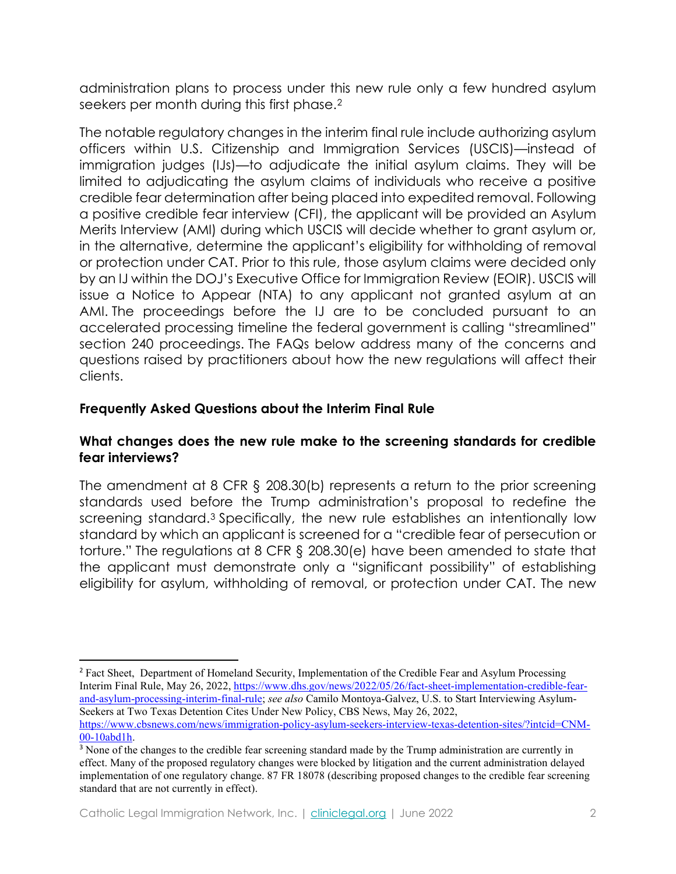administration plans to process under this new rule only a few hundred asylum seekers per month during this first phase.[2](#page-1-0) 

The notable regulatory changes in the interim final rule include authorizing asylum officers within U.S. Citizenship and Immigration Services (USCIS)—instead of immigration judges (IJs)—to adjudicate the initial asylum claims. They will be limited to adjudicating the asylum claims of individuals who receive a positive credible fear determination after being placed into expedited removal. Following a positive credible fear interview (CFI), the applicant will be provided an Asylum Merits Interview (AMI) during which USCIS will decide whether to grant asylum or, in the alternative, determine the applicant's eligibility for withholding of removal or protection under CAT. Prior to this rule, those asylum claims were decided only by an IJ within the DOJ's Executive Office for Immigration Review (EOIR). USCIS will issue a Notice to Appear (NTA) to any applicant not granted asylum at an AMI. The proceedings before the IJ are to be concluded pursuant to an accelerated processing timeline the federal government is calling "streamlined" section 240 proceedings. The FAQs below address many of the concerns and questions raised by practitioners about how the new regulations will affect their clients.

# **Frequently Asked Questions about the Interim Final Rule**

### **What changes does the new rule make to the screening standards for credible fear interviews?**

The amendment at 8 CFR § 208.30(b) represents a return to the prior screening standards used before the Trump administration's proposal to redefine the screening standard.[3](#page-1-1) Specifically, the new rule establishes an intentionally low standard by which an applicant is screened for a "credible fear of persecution or torture." The regulations at 8 CFR § 208.30(e) have been amended to state that the applicant must demonstrate only a "significant possibility" of establishing eligibility for asylum, withholding of removal, or protection under CAT. The new

<span id="page-1-0"></span><sup>&</sup>lt;sup>2</sup> Fact Sheet, Department of Homeland Security, Implementation of the Credible Fear and Asylum Processing Interim Final Rule, May 26, 2022[, https://www.dhs.gov/news/2022/05/26/fact-sheet-implementation-credible-fear](https://www.dhs.gov/news/2022/05/26/fact-sheet-implementation-credible-fear-and-asylum-processing-interim-final-rule)[and-asylum-processing-interim-final-rule;](https://www.dhs.gov/news/2022/05/26/fact-sheet-implementation-credible-fear-and-asylum-processing-interim-final-rule) *see also* Camilo Montoya-Galvez, U.S. to Start Interviewing Asylum-Seekers at Two Texas Detention Cites Under New Policy, CBS News, May 26, 2022, [https://www.cbsnews.com/news/immigration-policy-asylum-seekers-interview-texas-detention-sites/?intcid=CNM-](https://www.cbsnews.com/news/immigration-policy-asylum-seekers-interview-texas-detention-sites/?intcid=CNM-00-10abd1h)[00-10abd1h.](https://www.cbsnews.com/news/immigration-policy-asylum-seekers-interview-texas-detention-sites/?intcid=CNM-00-10abd1h)

<span id="page-1-1"></span><sup>&</sup>lt;sup>3</sup> None of the changes to the credible fear screening standard made by the Trump administration are currently in effect. Many of the proposed regulatory changes were blocked by litigation and the current administration delayed implementation of one regulatory change. 87 FR 18078 (describing proposed changes to the credible fear screening standard that are not currently in effect).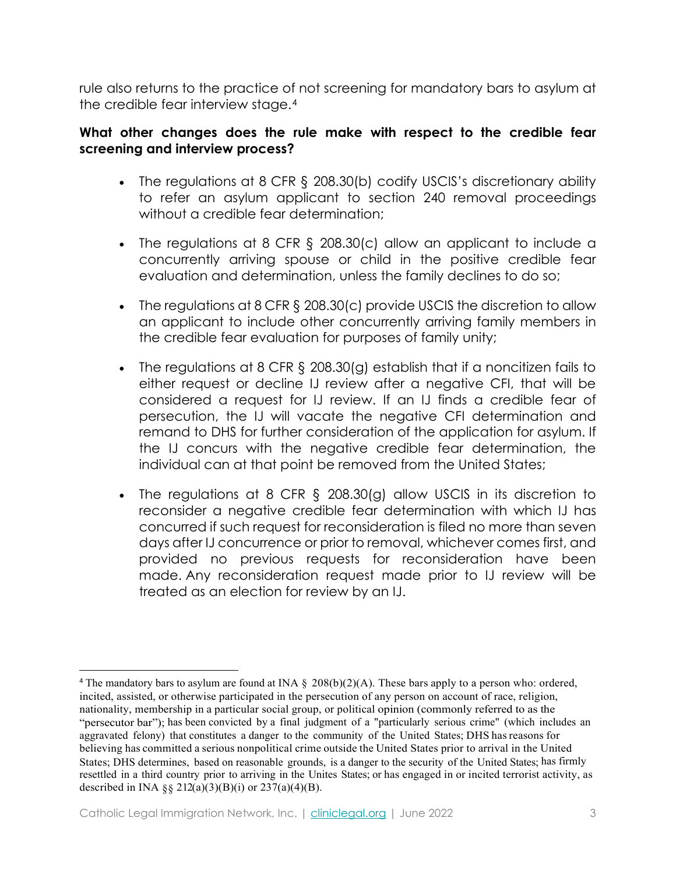rule also returns to the practice of not screening for mandatory bars to asylum at the credible fear interview stage.[4](#page-2-0)

### **What other changes does the rule make with respect to the credible fear screening and interview process?**

- The regulations at 8 CFR § 208.30(b) codify USCIS's discretionary ability to refer an asylum applicant to section 240 removal proceedings without a credible fear determination;
- The regulations at 8 CFR § 208.30(c) allow an applicant to include a concurrently arriving spouse or child in the positive credible fear evaluation and determination, unless the family declines to do so;
- The regulations at 8 CFR § 208.30(c) provide USCIS the discretion to allow an applicant to include other concurrently arriving family members in the credible fear evaluation for purposes of family unity;
- The regulations at 8 CFR § 208.30(g) establish that if a noncitizen fails to either request or decline IJ review after a negative CFI, that will be considered a request for IJ review. If an IJ finds a credible fear of persecution, the IJ will vacate the negative CFI determination and remand to DHS for further consideration of the application for asylum. If the IJ concurs with the negative credible fear determination, the individual can at that point be removed from the United States;
- The regulations at 8 CFR § 208.30(g) allow USCIS in its discretion to reconsider a negative credible fear determination with which IJ has concurred if such request for reconsideration is filed no more than seven days after IJ concurrence or prior to removal, whichever comes first, and provided no previous requests for reconsideration have been made. Any reconsideration request made prior to IJ review will be treated as an election for review by an IJ.

<span id="page-2-0"></span><sup>&</sup>lt;sup>4</sup> The mandatory bars to asylum are found at INA  $\S$  208(b)(2)(A). These bars apply to a person who: ordered, incited, assisted, or otherwise participated in the persecution of any person on account of race, religion, nationality, membership in a particular social group, or political opinion (commonly referred to as the "persecutor bar"); has been convicted by a final judgment of a "particularly serious crime" (which includes an aggravated felony) that constitutes a danger to the community of the United States; DHS hasreasons for believing has committed a serious nonpolitical crime outside the United States prior to arrival in the United States; DHS determines, based on reasonable grounds, is a danger to the security of the United States; has firmly resettled in a third country prior to arriving in the Unites States; or has engaged in or incited terrorist activity, as described in INA §§ 212(a)(3)(B)(i) or 237(a)(4)(B).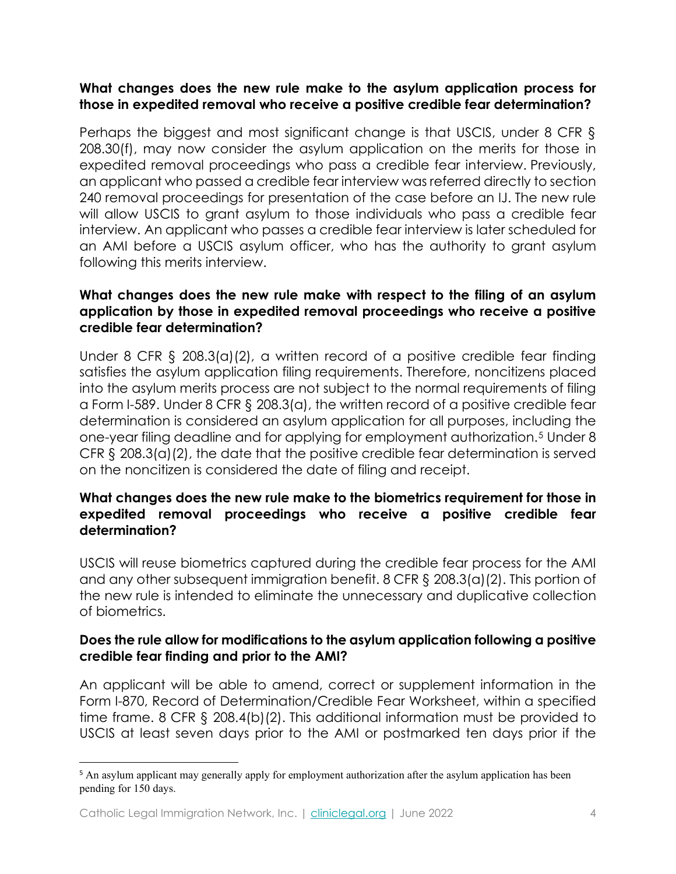## **What changes does the new rule make to the asylum application process for those in expedited removal who receive a positive credible fear determination?**

Perhaps the biggest and most significant change is that USCIS, under 8 CFR § 208.30(f), may now consider the asylum application on the merits for those in expedited removal proceedings who pass a credible fear interview. Previously, an applicant who passed a credible fear interview was referred directly to section 240 removal proceedings for presentation of the case before an IJ. The new rule will allow USCIS to grant asylum to those individuals who pass a credible fear interview. An applicant who passes a credible fear interview is later scheduled for an AMI before a USCIS asylum officer, who has the authority to grant asylum following this merits interview.

### **What changes does the new rule make with respect to the filing of an asylum application by those in expedited removal proceedings who receive a positive credible fear determination?**

Under 8 CFR § 208.3(a)(2), a written record of a positive credible fear finding satisfies the asylum application filing requirements. Therefore, noncitizens placed into the asylum merits process are not subject to the normal requirements of filing a Form I-589. Under 8 CFR § 208.3(a), the written record of a positive credible fear determination is considered an asylum application for all purposes, including the one-year filing deadline and for applying for employment authorization.[5](#page-3-0) Under 8 CFR § 208.3(a)(2), the date that the positive credible fear determination is served on the noncitizen is considered the date of filing and receipt.

## **What changes does the new rule make to the biometrics requirement for those in expedited removal proceedings who receive a positive credible fear determination?**

USCIS will reuse biometrics captured during the credible fear process for the AMI and any other subsequent immigration benefit. 8 CFR § 208.3(a)(2). This portion of the new rule is intended to eliminate the unnecessary and duplicative collection of biometrics.

## **Does the rule allow for modifications to the asylum application following a positive credible fear finding and prior to the AMI?**

An applicant will be able to amend, correct or supplement information in the Form I-870, Record of Determination/Credible Fear Worksheet, within a specified time frame. 8 CFR § 208.4(b)(2). This additional information must be provided to USCIS at least seven days prior to the AMI or postmarked ten days prior if the

<span id="page-3-0"></span><sup>&</sup>lt;sup>5</sup> An asylum applicant may generally apply for employment authorization after the asylum application has been pending for 150 days.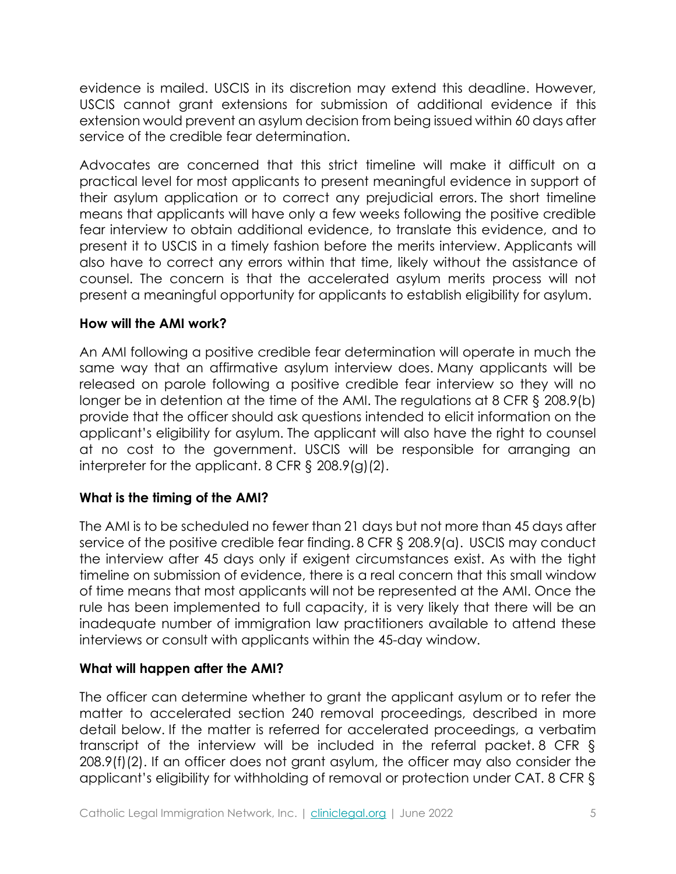evidence is mailed. USCIS in its discretion may extend this deadline. However, USCIS cannot grant extensions for submission of additional evidence if this extension would prevent an asylum decision from being issued within 60 days after service of the credible fear determination.

Advocates are concerned that this strict timeline will make it difficult on a practical level for most applicants to present meaningful evidence in support of their asylum application or to correct any prejudicial errors. The short timeline means that applicants will have only a few weeks following the positive credible fear interview to obtain additional evidence, to translate this evidence, and to present it to USCIS in a timely fashion before the merits interview. Applicants will also have to correct any errors within that time, likely without the assistance of counsel. The concern is that the accelerated asylum merits process will not present a meaningful opportunity for applicants to establish eligibility for asylum.

## **How will the AMI work?**

An AMI following a positive credible fear determination will operate in much the same way that an affirmative asylum interview does. Many applicants will be released on parole following a positive credible fear interview so they will no longer be in detention at the time of the AMI. The regulations at 8 CFR § 208.9(b) provide that the officer should ask questions intended to elicit information on the applicant's eligibility for asylum. The applicant will also have the right to counsel at no cost to the government. USCIS will be responsible for arranging an interpreter for the applicant. 8 CFR § 208.9(g)(2).

## **What is the timing of the AMI?**

The AMI is to be scheduled no fewer than 21 days but not more than 45 days after service of the positive credible fear finding. 8 CFR § 208.9(a). USCIS may conduct the interview after 45 days only if exigent circumstances exist. As with the tight timeline on submission of evidence, there is a real concern that this small window of time means that most applicants will not be represented at the AMI. Once the rule has been implemented to full capacity, it is very likely that there will be an inadequate number of immigration law practitioners available to attend these interviews or consult with applicants within the 45-day window.

## **What will happen after the AMI?**

The officer can determine whether to grant the applicant asylum or to refer the matter to accelerated section 240 removal proceedings, described in more detail below. If the matter is referred for accelerated proceedings, a verbatim transcript of the interview will be included in the referral packet. 8 CFR § 208.9(f)(2). If an officer does not grant asylum, the officer may also consider the applicant's eligibility for withholding of removal or protection under CAT. 8 CFR §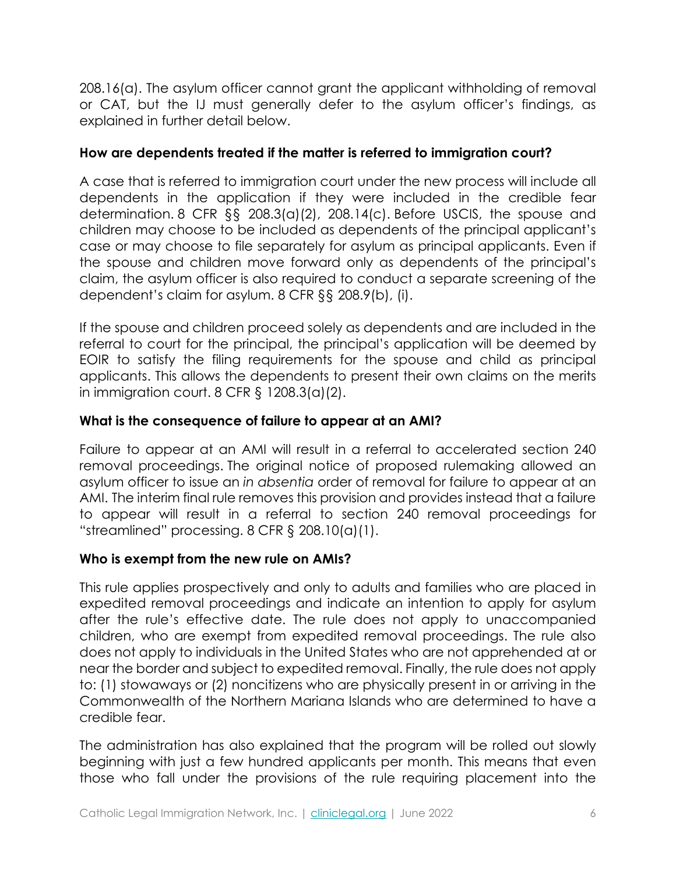208.16(a). The asylum officer cannot grant the applicant withholding of removal or CAT, but the IJ must generally defer to the asylum officer's findings, as explained in further detail below.

# **How are dependents treated if the matter is referred to immigration court?**

A case that is referred to immigration court under the new process will include all dependents in the application if they were included in the credible fear determination. 8 CFR §§ 208.3(a)(2), 208.14(c). Before USCIS, the spouse and children may choose to be included as dependents of the principal applicant's case or may choose to file separately for asylum as principal applicants. Even if the spouse and children move forward only as dependents of the principal's claim, the asylum officer is also required to conduct a separate screening of the dependent's claim for asylum. 8 CFR §§ 208.9(b), (i).

If the spouse and children proceed solely as dependents and are included in the referral to court for the principal, the principal's application will be deemed by EOIR to satisfy the filing requirements for the spouse and child as principal applicants. This allows the dependents to present their own claims on the merits in immigration court.  $8$  CFR  $\frac{6}{3}$  1208.3(a)(2).

# **What is the consequence of failure to appear at an AMI?**

Failure to appear at an AMI will result in a referral to accelerated section 240 removal proceedings. The original notice of proposed rulemaking allowed an asylum officer to issue an *in absentia* order of removal for failure to appear at an AMI. The interim final rule removes this provision and provides instead that a failure to appear will result in a referral to section 240 removal proceedings for "streamlined" processing. 8 CFR § 208.10(a)(1).

# **Who is exempt from the new rule on AMIs?**

This rule applies prospectively and only to adults and families who are placed in expedited removal proceedings and indicate an intention to apply for asylum after the rule's effective date. The rule does not apply to unaccompanied children, who are exempt from expedited removal proceedings. The rule also does not apply to individuals in the United States who are not apprehended at or near the border and subject to expedited removal. Finally, the rule does not apply to: (1) stowaways or (2) noncitizens who are physically present in or arriving in the Commonwealth of the Northern Mariana Islands who are determined to have a credible fear.

The administration has also explained that the program will be rolled out slowly beginning with just a few hundred applicants per month. This means that even those who fall under the provisions of the rule requiring placement into the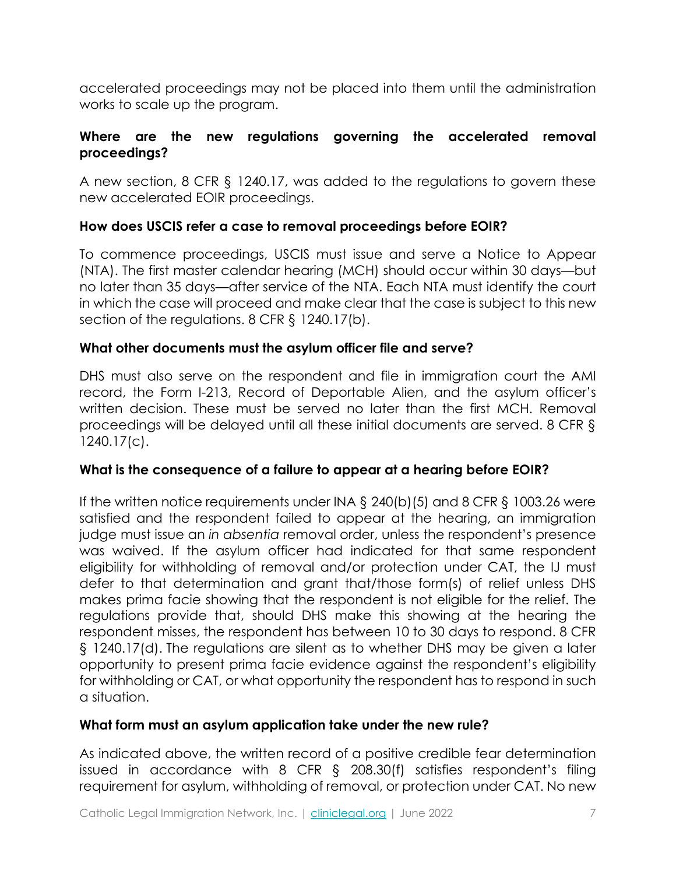accelerated proceedings may not be placed into them until the administration works to scale up the program.

# **Where are the new regulations governing the accelerated removal proceedings?**

A new section, 8 CFR § 1240.17, was added to the regulations to govern these new accelerated EOIR proceedings.

# **How does USCIS refer a case to removal proceedings before EOIR?**

To commence proceedings, USCIS must issue and serve a Notice to Appear (NTA). The first master calendar hearing (MCH) should occur within 30 days—but no later than 35 days—after service of the NTA. Each NTA must identify the court in which the case will proceed and make clear that the case is subject to this new section of the regulations. 8 CFR § 1240.17(b).

## **What other documents must the asylum officer file and serve?**

DHS must also serve on the respondent and file in immigration court the AMI record, the Form I-213, Record of Deportable Alien, and the asylum officer's written decision. These must be served no later than the first MCH. Removal proceedings will be delayed until all these initial documents are served. 8 CFR § 1240.17(c).

# **What is the consequence of a failure to appear at a hearing before EOIR?**

If the written notice requirements under INA § 240(b)(5) and 8 CFR § 1003.26 were satisfied and the respondent failed to appear at the hearing, an immigration judge must issue an *in absentia* removal order, unless the respondent's presence was waived. If the asylum officer had indicated for that same respondent eligibility for withholding of removal and/or protection under CAT, the IJ must defer to that determination and grant that/those form(s) of relief unless DHS makes prima facie showing that the respondent is not eligible for the relief. The regulations provide that, should DHS make this showing at the hearing the respondent misses, the respondent has between 10 to 30 days to respond. 8 CFR § 1240.17(d). The regulations are silent as to whether DHS may be given a later opportunity to present prima facie evidence against the respondent's eligibility for withholding or CAT, or what opportunity the respondent has to respond in such a situation.

## **What form must an asylum application take under the new rule?**

As indicated above, the written record of a positive credible fear determination issued in accordance with 8 CFR § 208.30(f) satisfies respondent's filing requirement for asylum, withholding of removal, or protection under CAT. No new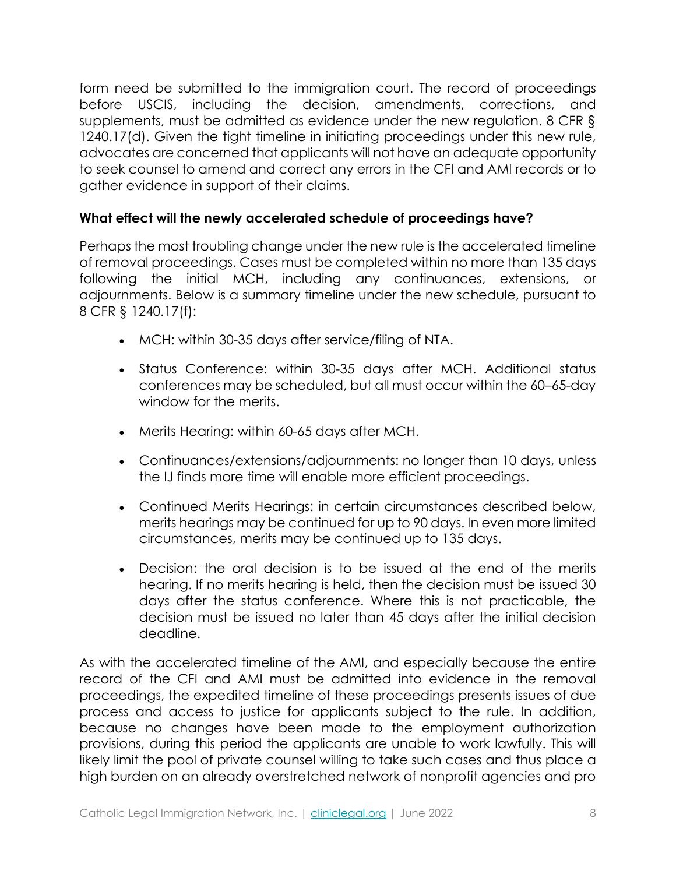form need be submitted to the immigration court. The record of proceedings before USCIS, including the decision, amendments, corrections, and supplements, must be admitted as evidence under the new regulation. 8 CFR § 1240.17(d). Given the tight timeline in initiating proceedings under this new rule, advocates are concerned that applicants will not have an adequate opportunity to seek counsel to amend and correct any errors in the CFI and AMI records or to gather evidence in support of their claims.

# **What effect will the newly accelerated schedule of proceedings have?**

Perhaps the most troubling change under the new rule is the accelerated timeline of removal proceedings. Cases must be completed within no more than 135 days following the initial MCH, including any continuances, extensions, or adjournments. Below is a summary timeline under the new schedule, pursuant to 8 CFR § 1240.17(f):

- MCH: within 30-35 days after service/filing of NTA.
- Status Conference: within 30-35 days after MCH. Additional status conferences may be scheduled, but all must occur within the 60–65-day window for the merits.
- Merits Hearing: within 60-65 days after MCH.
- Continuances/extensions/adjournments: no longer than 10 days, unless the IJ finds more time will enable more efficient proceedings.
- Continued Merits Hearings: in certain circumstances described below, merits hearings may be continued for up to 90 days. In even more limited circumstances, merits may be continued up to 135 days.
- Decision: the oral decision is to be issued at the end of the merits hearing. If no merits hearing is held, then the decision must be issued 30 days after the status conference. Where this is not practicable, the decision must be issued no later than 45 days after the initial decision deadline.

As with the accelerated timeline of the AMI, and especially because the entire record of the CFI and AMI must be admitted into evidence in the removal proceedings, the expedited timeline of these proceedings presents issues of due process and access to justice for applicants subject to the rule. In addition, because no changes have been made to the employment authorization provisions, during this period the applicants are unable to work lawfully. This will likely limit the pool of private counsel willing to take such cases and thus place a high burden on an already overstretched network of nonprofit agencies and pro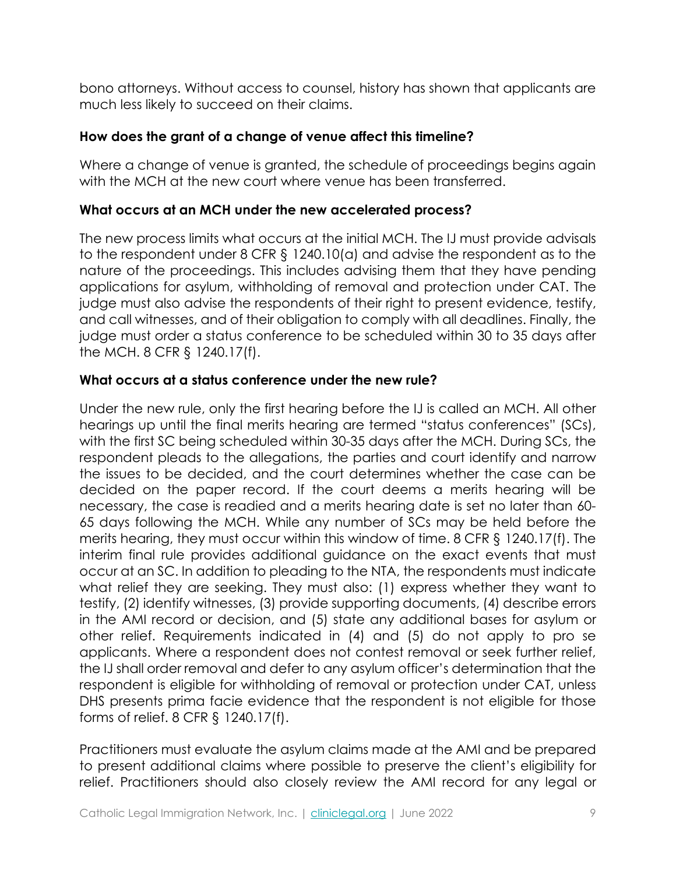bono attorneys. Without access to counsel, history has shown that applicants are much less likely to succeed on their claims.

## **How does the grant of a change of venue affect this timeline?**

Where a change of venue is granted, the schedule of proceedings begins again with the MCH at the new court where venue has been transferred.

## **What occurs at an MCH under the new accelerated process?**

The new process limits what occurs at the initial MCH. The IJ must provide advisals to the respondent under 8 CFR § 1240.10(a) and advise the respondent as to the nature of the proceedings. This includes advising them that they have pending applications for asylum, withholding of removal and protection under CAT. The judge must also advise the respondents of their right to present evidence, testify, and call witnesses, and of their obligation to comply with all deadlines. Finally, the judge must order a status conference to be scheduled within 30 to 35 days after the MCH. 8 CFR § 1240.17(f).

# **What occurs at a status conference under the new rule?**

Under the new rule, only the first hearing before the IJ is called an MCH. All other hearings up until the final merits hearing are termed "status conferences" (SCs), with the first SC being scheduled within 30-35 days after the MCH. During SCs, the respondent pleads to the allegations, the parties and court identify and narrow the issues to be decided, and the court determines whether the case can be decided on the paper record. If the court deems a merits hearing will be necessary, the case is readied and a merits hearing date is set no later than 60- 65 days following the MCH. While any number of SCs may be held before the merits hearing, they must occur within this window of time. 8 CFR § 1240.17(f). The interim final rule provides additional guidance on the exact events that must occur at an SC. In addition to pleading to the NTA, the respondents must indicate what relief they are seeking. They must also: (1) express whether they want to testify, (2) identify witnesses, (3) provide supporting documents, (4) describe errors in the AMI record or decision, and (5) state any additional bases for asylum or other relief. Requirements indicated in (4) and (5) do not apply to pro se applicants. Where a respondent does not contest removal or seek further relief, the IJ shall order removal and defer to any asylum officer's determination that the respondent is eligible for withholding of removal or protection under CAT, unless DHS presents prima facie evidence that the respondent is not eligible for those forms of relief. 8 CFR § 1240.17(f).

Practitioners must evaluate the asylum claims made at the AMI and be prepared to present additional claims where possible to preserve the client's eligibility for relief. Practitioners should also closely review the AMI record for any legal or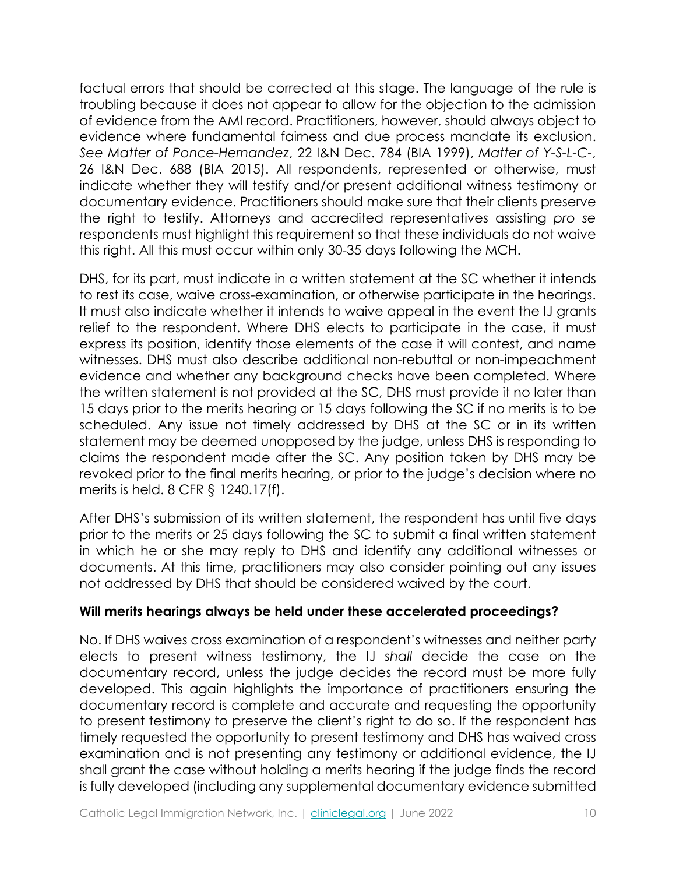factual errors that should be corrected at this stage. The language of the rule is troubling because it does not appear to allow for the objection to the admission of evidence from the AMI record. Practitioners, however, should always object to evidence where fundamental fairness and due process mandate its exclusion. *See Matter of Ponce-Hernandez*, 22 I&N Dec. 784 (BIA 1999), *Matter of Y-S-L-C-*, 26 I&N Dec. 688 (BIA 2015). All respondents, represented or otherwise, must indicate whether they will testify and/or present additional witness testimony or documentary evidence. Practitioners should make sure that their clients preserve the right to testify. Attorneys and accredited representatives assisting *pro se* respondents must highlight this requirement so that these individuals do not waive this right. All this must occur within only 30-35 days following the MCH.

DHS, for its part, must indicate in a written statement at the SC whether it intends to rest its case, waive cross-examination, or otherwise participate in the hearings. It must also indicate whether it intends to waive appeal in the event the IJ grants relief to the respondent. Where DHS elects to participate in the case, it must express its position, identify those elements of the case it will contest, and name witnesses. DHS must also describe additional non-rebuttal or non-impeachment evidence and whether any background checks have been completed. Where the written statement is not provided at the SC, DHS must provide it no later than 15 days prior to the merits hearing or 15 days following the SC if no merits is to be scheduled. Any issue not timely addressed by DHS at the SC or in its written statement may be deemed unopposed by the judge, unless DHS is responding to claims the respondent made after the SC. Any position taken by DHS may be revoked prior to the final merits hearing, or prior to the judge's decision where no merits is held. 8 CFR § 1240.17(f).

After DHS's submission of its written statement, the respondent has until five days prior to the merits or 25 days following the SC to submit a final written statement in which he or she may reply to DHS and identify any additional witnesses or documents. At this time, practitioners may also consider pointing out any issues not addressed by DHS that should be considered waived by the court.

## **Will merits hearings always be held under these accelerated proceedings?**

No. If DHS waives cross examination of a respondent's witnesses and neither party elects to present witness testimony, the IJ *shall* decide the case on the documentary record, unless the judge decides the record must be more fully developed. This again highlights the importance of practitioners ensuring the documentary record is complete and accurate and requesting the opportunity to present testimony to preserve the client's right to do so. If the respondent has timely requested the opportunity to present testimony and DHS has waived cross examination and is not presenting any testimony or additional evidence, the IJ shall grant the case without holding a merits hearing if the judge finds the record is fully developed (including any supplemental documentary evidence submitted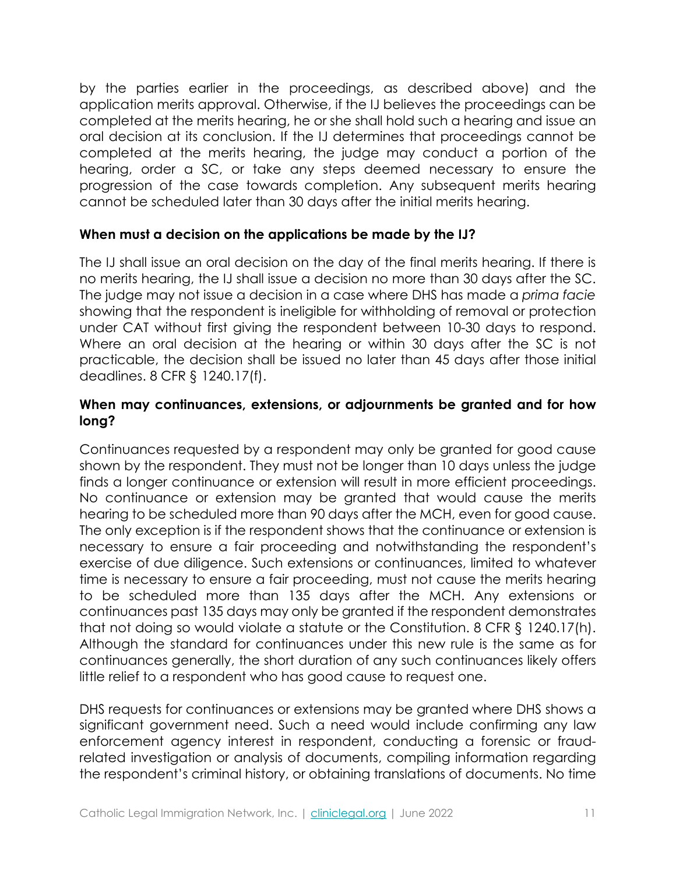by the parties earlier in the proceedings, as described above) and the application merits approval. Otherwise, if the IJ believes the proceedings can be completed at the merits hearing, he or she shall hold such a hearing and issue an oral decision at its conclusion. If the IJ determines that proceedings cannot be completed at the merits hearing, the judge may conduct a portion of the hearing, order a SC, or take any steps deemed necessary to ensure the progression of the case towards completion. Any subsequent merits hearing cannot be scheduled later than 30 days after the initial merits hearing.

## **When must a decision on the applications be made by the IJ?**

The IJ shall issue an oral decision on the day of the final merits hearing. If there is no merits hearing, the IJ shall issue a decision no more than 30 days after the SC. The judge may not issue a decision in a case where DHS has made a *prima facie* showing that the respondent is ineligible for withholding of removal or protection under CAT without first giving the respondent between 10-30 days to respond. Where an oral decision at the hearing or within 30 days after the SC is not practicable, the decision shall be issued no later than 45 days after those initial deadlines. 8 CFR § 1240.17(f).

#### **When may continuances, extensions, or adjournments be granted and for how long?**

Continuances requested by a respondent may only be granted for good cause shown by the respondent. They must not be longer than 10 days unless the judge finds a longer continuance or extension will result in more efficient proceedings. No continuance or extension may be granted that would cause the merits hearing to be scheduled more than 90 days after the MCH, even for good cause. The only exception is if the respondent shows that the continuance or extension is necessary to ensure a fair proceeding and notwithstanding the respondent's exercise of due diligence. Such extensions or continuances, limited to whatever time is necessary to ensure a fair proceeding, must not cause the merits hearing to be scheduled more than 135 days after the MCH. Any extensions or continuances past 135 days may only be granted if the respondent demonstrates that not doing so would violate a statute or the Constitution. 8 CFR § 1240.17(h). Although the standard for continuances under this new rule is the same as for continuances generally, the short duration of any such continuances likely offers little relief to a respondent who has good cause to request one.

DHS requests for continuances or extensions may be granted where DHS shows a significant government need. Such a need would include confirming any law enforcement agency interest in respondent, conducting a forensic or fraudrelated investigation or analysis of documents, compiling information regarding the respondent's criminal history, or obtaining translations of documents. No time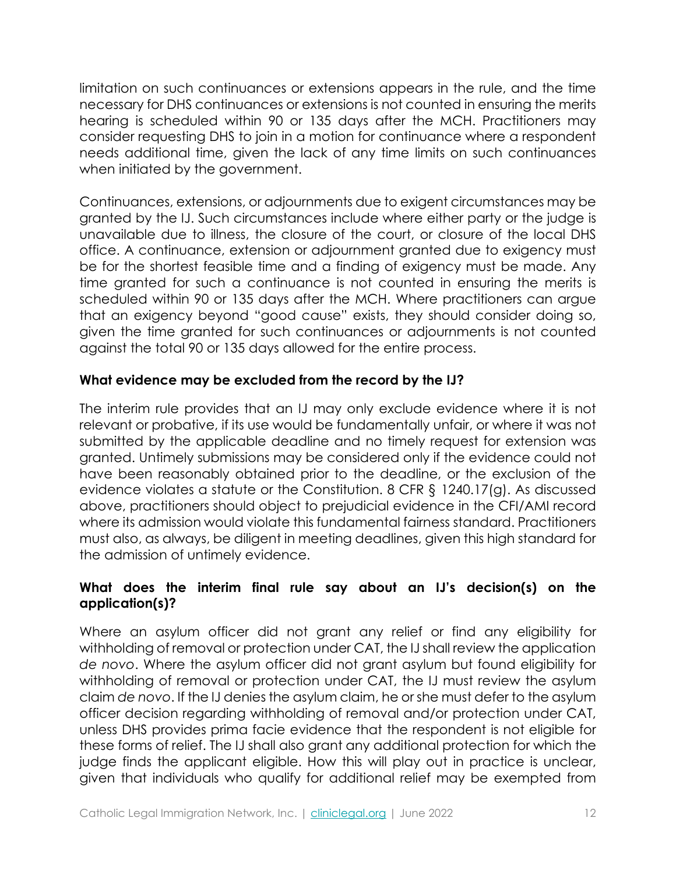limitation on such continuances or extensions appears in the rule, and the time necessary for DHS continuances or extensions is not counted in ensuring the merits hearing is scheduled within 90 or 135 days after the MCH. Practitioners may consider requesting DHS to join in a motion for continuance where a respondent needs additional time, given the lack of any time limits on such continuances when initiated by the government.

Continuances, extensions, or adjournments due to exigent circumstances may be granted by the IJ. Such circumstances include where either party or the judge is unavailable due to illness, the closure of the court, or closure of the local DHS office. A continuance, extension or adjournment granted due to exigency must be for the shortest feasible time and a finding of exigency must be made. Any time granted for such a continuance is not counted in ensuring the merits is scheduled within 90 or 135 days after the MCH. Where practitioners can argue that an exigency beyond "good cause" exists, they should consider doing so, given the time granted for such continuances or adjournments is not counted against the total 90 or 135 days allowed for the entire process.

## **What evidence may be excluded from the record by the IJ?**

The interim rule provides that an IJ may only exclude evidence where it is not relevant or probative, if its use would be fundamentally unfair, or where it was not submitted by the applicable deadline and no timely request for extension was granted. Untimely submissions may be considered only if the evidence could not have been reasonably obtained prior to the deadline, or the exclusion of the evidence violates a statute or the Constitution. 8 CFR § 1240.17(g). As discussed above, practitioners should object to prejudicial evidence in the CFI/AMI record where its admission would violate this fundamental fairness standard. Practitioners must also, as always, be diligent in meeting deadlines, given this high standard for the admission of untimely evidence.

# **What does the interim final rule say about an IJ's decision(s) on the application(s)?**

Where an asylum officer did not grant any relief or find any eligibility for withholding of removal or protection under CAT, the IJ shall review the application *de novo*. Where the asylum officer did not grant asylum but found eligibility for withholding of removal or protection under CAT, the IJ must review the asylum claim *de novo*. If the IJ denies the asylum claim, he or she must defer to the asylum officer decision regarding withholding of removal and/or protection under CAT, unless DHS provides prima facie evidence that the respondent is not eligible for these forms of relief. The IJ shall also grant any additional protection for which the judge finds the applicant eligible. How this will play out in practice is unclear, given that individuals who qualify for additional relief may be exempted from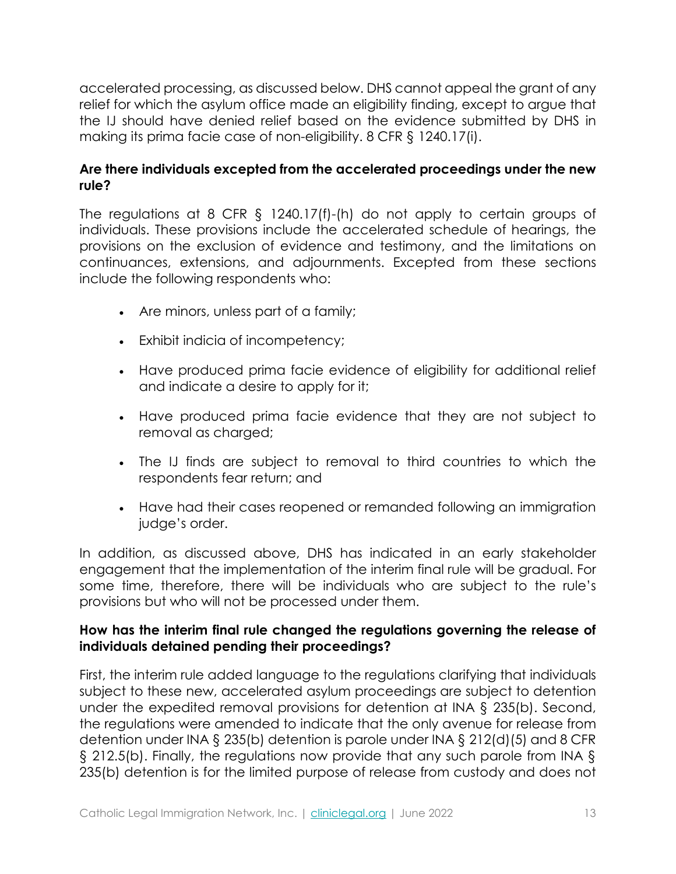accelerated processing, as discussed below. DHS cannot appeal the grant of any relief for which the asylum office made an eligibility finding, except to argue that the IJ should have denied relief based on the evidence submitted by DHS in making its prima facie case of non-eligibility. 8 CFR § 1240.17(i).

## **Are there individuals excepted from the accelerated proceedings under the new rule?**

The regulations at 8 CFR § 1240.17(f)-(h) do not apply to certain groups of individuals. These provisions include the accelerated schedule of hearings, the provisions on the exclusion of evidence and testimony, and the limitations on continuances, extensions, and adjournments. Excepted from these sections include the following respondents who:

- Are minors, unless part of a family;
- Exhibit indicia of incompetency;
- Have produced prima facie evidence of eligibility for additional relief and indicate a desire to apply for it;
- Have produced prima facie evidence that they are not subject to removal as charged;
- The IJ finds are subject to removal to third countries to which the respondents fear return; and
- Have had their cases reopened or remanded following an immigration judge's order.

In addition, as discussed above, DHS has indicated in an early stakeholder engagement that the implementation of the interim final rule will be gradual. For some time, therefore, there will be individuals who are subject to the rule's provisions but who will not be processed under them.

## **How has the interim final rule changed the regulations governing the release of individuals detained pending their proceedings?**

First, the interim rule added language to the regulations clarifying that individuals subject to these new, accelerated asylum proceedings are subject to detention under the expedited removal provisions for detention at INA § 235(b). Second, the regulations were amended to indicate that the only avenue for release from detention under INA § 235(b) detention is parole under INA § 212(d)(5) and 8 CFR § 212.5(b). Finally, the regulations now provide that any such parole from INA § 235(b) detention is for the limited purpose of release from custody and does not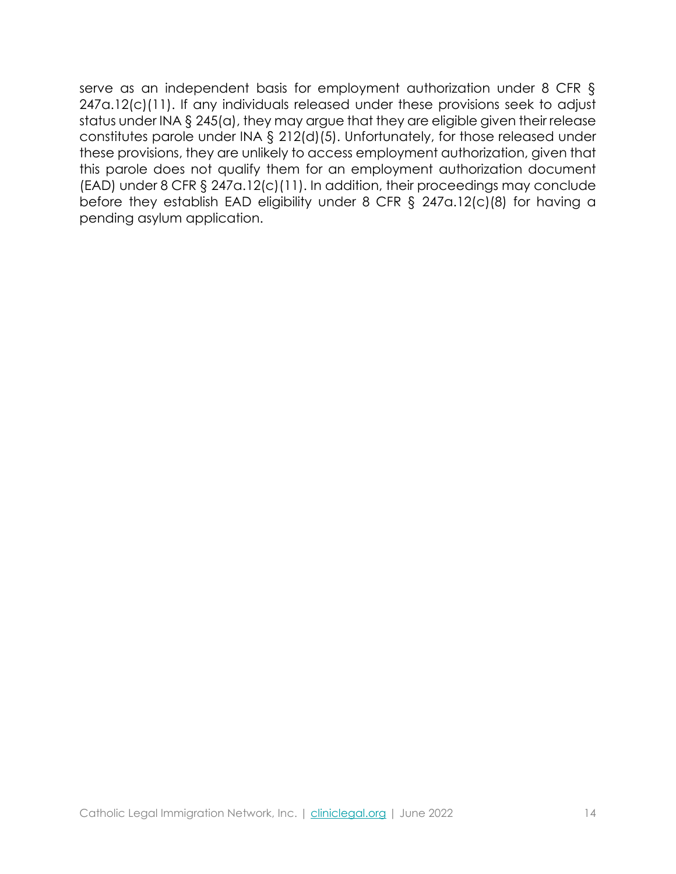serve as an independent basis for employment authorization under 8 CFR § 247a.12(c)(11). If any individuals released under these provisions seek to adjust status under INA § 245(a), they may argue that they are eligible given their release constitutes parole under INA § 212(d)(5). Unfortunately, for those released under these provisions, they are unlikely to access employment authorization, given that this parole does not qualify them for an employment authorization document (EAD) under 8 CFR § 247a.12(c)(11). In addition, their proceedings may conclude before they establish EAD eligibility under 8 CFR § 247a.12(c)(8) for having a pending asylum application.